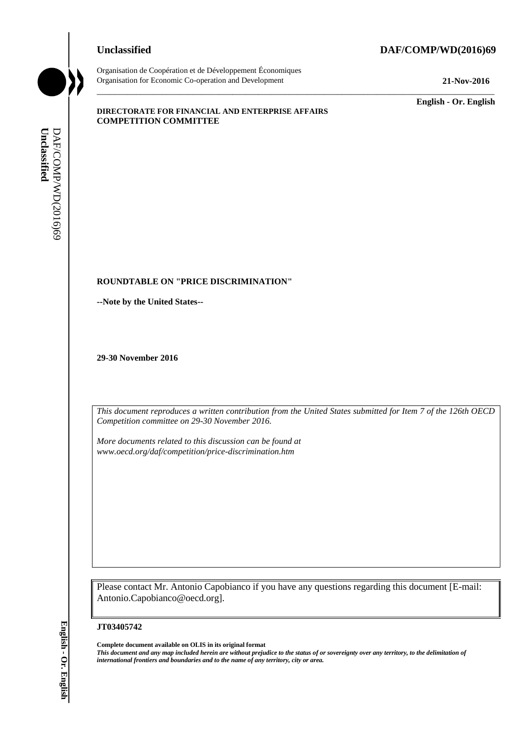## **Unclassified DAF/COMP/WD(2016)69**



Organisation de Coopération et de Développement Économiques Organisation for Economic Co-operation and Development **21-Nov-2016**

\_\_\_\_\_\_\_\_\_\_\_\_\_ **English - Or. English**

#### **DIRECTORATE FOR FINANCIAL AND ENTERPRISE AFFAIRS COMPETITION COMMITTEE**

## **ROUNDTABLE ON "PRICE DISCRIMINATION"**

**--Note by the United States--**

**29-30 November 2016**

*This document reproduces a written contribution from the United States submitted for Item 7 of the 126th OECD Competition committee on 29-30 November 2016.* 

\_\_\_\_\_\_\_\_\_\_\_\_\_\_\_\_\_\_\_\_\_\_\_\_\_\_\_\_\_\_\_\_\_\_\_\_\_\_\_\_\_\_\_\_\_\_\_\_\_\_\_\_\_\_\_\_\_\_\_\_\_\_\_\_\_\_\_\_\_\_\_\_\_\_\_\_\_\_\_\_\_\_\_\_\_\_\_\_\_\_\_

*More documents related to this discussion can be found at www.oecd.org/daf/competition/price-discrimination.htm*

Please contact Mr. Antonio Capobianco if you have any questions regarding this document [E-mail: Antonio.Capobianco@oecd.org].

#### **JT03405742**

**Complete document available on OLIS in its original format** *This document and any map included herein are without prejudice to the status of or sovereignty over any territory, to the delimitation of*  **international from the United States**<br> **international from the United States**<br> **29-30 November 2016**<br> **29-30 November 2016**<br> **17** *ints document reproduces a written contribution from the Unite<br>
<i>More courses and to the d*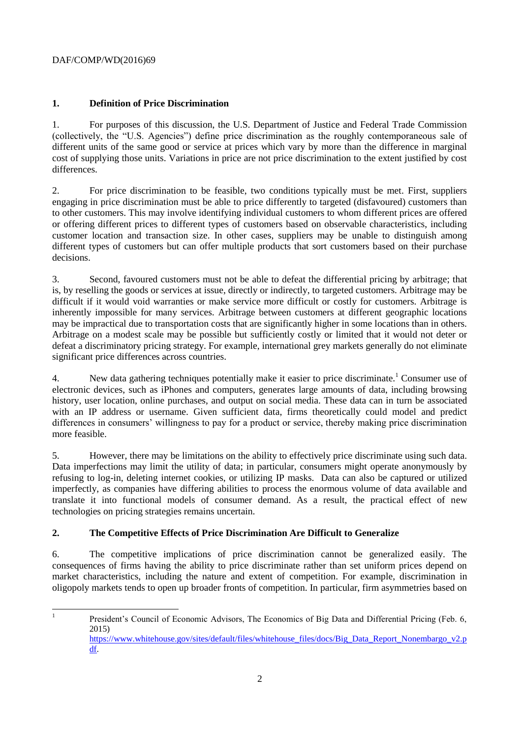# **1. Definition of Price Discrimination**

1. For purposes of this discussion, the U.S. Department of Justice and Federal Trade Commission (collectively, the "U.S. Agencies") define price discrimination as the roughly contemporaneous sale of different units of the same good or service at prices which vary by more than the difference in marginal cost of supplying those units. Variations in price are not price discrimination to the extent justified by cost differences.

2. For price discrimination to be feasible, two conditions typically must be met. First, suppliers engaging in price discrimination must be able to price differently to targeted (disfavoured) customers than to other customers. This may involve identifying individual customers to whom different prices are offered or offering different prices to different types of customers based on observable characteristics, including customer location and transaction size. In other cases, suppliers may be unable to distinguish among different types of customers but can offer multiple products that sort customers based on their purchase decisions.

3. Second, favoured customers must not be able to defeat the differential pricing by arbitrage; that is, by reselling the goods or services at issue, directly or indirectly, to targeted customers. Arbitrage may be difficult if it would void warranties or make service more difficult or costly for customers. Arbitrage is inherently impossible for many services. Arbitrage between customers at different geographic locations may be impractical due to transportation costs that are significantly higher in some locations than in others. Arbitrage on a modest scale may be possible but sufficiently costly or limited that it would not deter or defeat a discriminatory pricing strategy. For example, international grey markets generally do not eliminate significant price differences across countries.

4. New data gathering techniques potentially make it easier to price discriminate.<sup>1</sup> Consumer use of electronic devices, such as iPhones and computers, generates large amounts of data, including browsing history, user location, online purchases, and output on social media. These data can in turn be associated with an IP address or username. Given sufficient data, firms theoretically could model and predict differences in consumers' willingness to pay for a product or service, thereby making price discrimination more feasible.

5. However, there may be limitations on the ability to effectively price discriminate using such data. Data imperfections may limit the utility of data; in particular, consumers might operate anonymously by refusing to log-in, deleting internet cookies, or utilizing IP masks. Data can also be captured or utilized imperfectly, as companies have differing abilities to process the enormous volume of data available and translate it into functional models of consumer demand. As a result, the practical effect of new technologies on pricing strategies remains uncertain.

# **2. The Competitive Effects of Price Discrimination Are Difficult to Generalize**

6. The competitive implications of price discrimination cannot be generalized easily. The consequences of firms having the ability to price discriminate rather than set uniform prices depend on market characteristics, including the nature and extent of competition. For example, discrimination in oligopoly markets tends to open up broader fronts of competition. In particular, firm asymmetries based on

<sup>|&</sup>lt;br>|<br>| President's Council of Economic Advisors, The Economics of Big Data and Differential Pricing (Feb. 6, 2015) [https://www.whitehouse.gov/sites/default/files/whitehouse\\_files/docs/Big\\_Data\\_Report\\_Nonembargo\\_v2.p](https://www.whitehouse.gov/sites/default/files/whitehouse_files/docs/Big_Data_Report_Nonembargo_v2.pdf) [df.](https://www.whitehouse.gov/sites/default/files/whitehouse_files/docs/Big_Data_Report_Nonembargo_v2.pdf)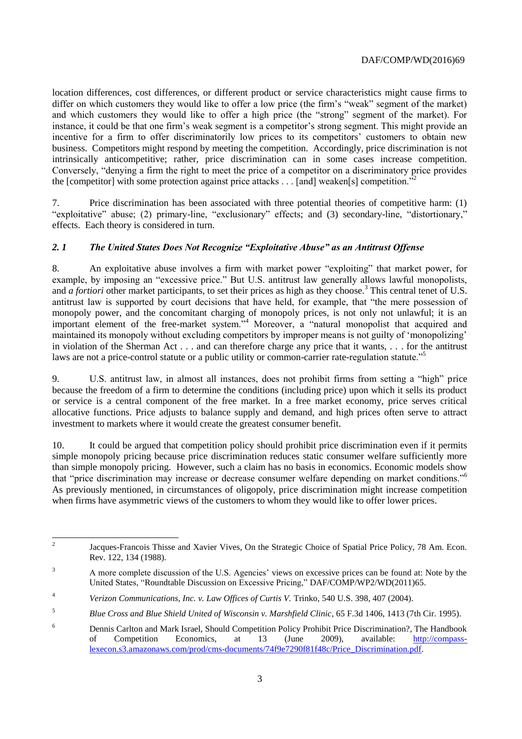location differences, cost differences, or different product or service characteristics might cause firms to differ on which customers they would like to offer a low price (the firm's "weak" segment of the market) and which customers they would like to offer a high price (the "strong" segment of the market). For instance, it could be that one firm's weak segment is a competitor's strong segment. This might provide an incentive for a firm to offer discriminatorily low prices to its competitors' customers to obtain new business. Competitors might respond by meeting the competition. Accordingly, price discrimination is not intrinsically anticompetitive; rather, price discrimination can in some cases increase competition. Conversely, "denying a firm the right to meet the price of a competitor on a discriminatory price provides the [competitor] with some protection against price attacks  $\dots$  [and] weaken[s] competition.<sup>72</sup>

7. Price discrimination has been associated with three potential theories of competitive harm: (1) "exploitative" abuse; (2) primary-line, "exclusionary" effects; and (3) secondary-line, "distortionary," effects. Each theory is considered in turn.

## *2. 1 The United States Does Not Recognize "Exploitative Abuse" as an Antitrust Offense*

8. An exploitative abuse involves a firm with market power "exploiting" that market power, for example, by imposing an "excessive price." But U.S. antitrust law generally allows lawful monopolists, and *a fortiori* other market participants, to set their prices as high as they choose.<sup>3</sup> This central tenet of U.S. antitrust law is supported by court decisions that have held, for example, that "the mere possession of monopoly power, and the concomitant charging of monopoly prices, is not only not unlawful; it is an important element of the free-market system."<sup>4</sup> Moreover, a "natural monopolist that acquired and maintained its monopoly without excluding competitors by improper means is not guilty of 'monopolizing' in violation of the Sherman Act . . . and can therefore charge any price that it wants, . . . for the antitrust laws are not a price-control statute or a public utility or common-carrier rate-regulation statute."<sup>5</sup>

9. U.S. antitrust law, in almost all instances, does not prohibit firms from setting a "high" price because the freedom of a firm to determine the conditions (including price) upon which it sells its product or service is a central component of the free market. In a free market economy, price serves critical allocative functions. Price adjusts to balance supply and demand, and high prices often serve to attract investment to markets where it would create the greatest consumer benefit.

10. It could be argued that competition policy should prohibit price discrimination even if it permits simple monopoly pricing because price discrimination reduces static consumer welfare sufficiently more than simple monopoly pricing. However, such a claim has no basis in economics. Economic models show that "price discrimination may increase or decrease consumer welfare depending on market conditions."<sup>6</sup> As previously mentioned, in circumstances of oligopoly, price discrimination might increase competition when firms have asymmetric views of the customers to whom they would like to offer lower prices.

 $\frac{1}{2}$ Jacques-Francois Thisse and Xavier Vives, On the Strategic Choice of Spatial Price Policy, 78 Am. Econ. Rev. 122, 134 (1988).

<sup>&</sup>lt;sup>3</sup> A more complete discussion of the U.S. Agencies' views on excessive prices can be found at: Note by the United States, "Roundtable Discussion on Excessive Pricing," DAF/COMP/WP2/WD(2011)65.

<sup>&</sup>lt;sup>4</sup> *Verizon Communications, Inc. v. Law Offices of Curtis V. Trinko, 540 U.S. 398, 407 (2004).* 

<sup>5</sup> *Blue Cross and Blue Shield United of Wisconsin v. Marshfield Clinic*, 65 F.3d 1406, 1413 (7th Cir. 1995).

<sup>6</sup> Dennis Carlton and Mark Israel, Should Competition Policy Prohibit Price Discrimination?, The Handbook of Competition Economics, at 13 (June 2009), available: [http://compass](http://compass-lexecon.s3.amazonaws.com/prod/cms-documents/74f9e7290f81f48c/Price_Discrimination.pdf)[lexecon.s3.amazonaws.com/prod/cms-documents/74f9e7290f81f48c/Price\\_Discrimination.pdf.](http://compass-lexecon.s3.amazonaws.com/prod/cms-documents/74f9e7290f81f48c/Price_Discrimination.pdf)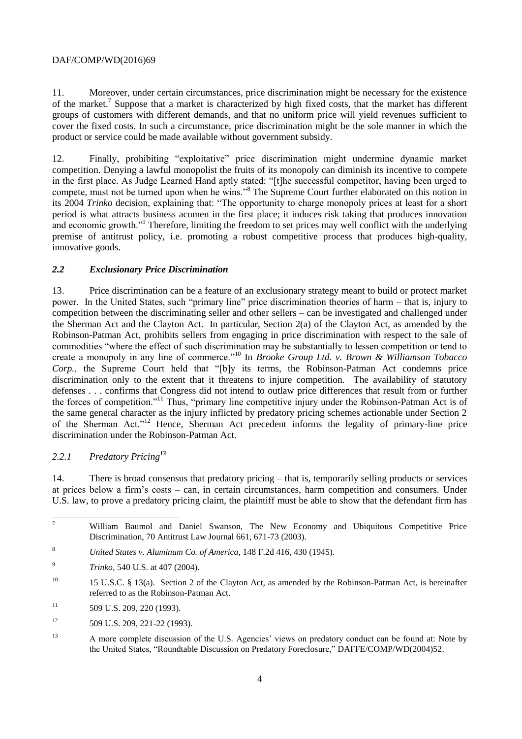11. Moreover, under certain circumstances, price discrimination might be necessary for the existence of the market.<sup>7</sup> Suppose that a market is characterized by high fixed costs, that the market has different groups of customers with different demands, and that no uniform price will yield revenues sufficient to cover the fixed costs. In such a circumstance, price discrimination might be the sole manner in which the product or service could be made available without government subsidy.

12. Finally, prohibiting "exploitative" price discrimination might undermine dynamic market competition. Denying a lawful monopolist the fruits of its monopoly can diminish its incentive to compete in the first place. As Judge Learned Hand aptly stated: "[t]he successful competitor, having been urged to compete, must not be turned upon when he wins."<sup>8</sup> The Supreme Court further elaborated on this notion in its 2004 *Trinko* decision, explaining that: "The opportunity to charge monopoly prices at least for a short period is what attracts business acumen in the first place; it induces risk taking that produces innovation and economic growth."<sup>9</sup> Therefore, limiting the freedom to set prices may well conflict with the underlying premise of antitrust policy, i.e. promoting a robust competitive process that produces high-quality, innovative goods.

## *2.2 Exclusionary Price Discrimination*

13. Price discrimination can be a feature of an exclusionary strategy meant to build or protect market power. In the United States, such "primary line" price discrimination theories of harm – that is, injury to competition between the discriminating seller and other sellers – can be investigated and challenged under the Sherman Act and the Clayton Act. In particular, Section 2(a) of the Clayton Act, as amended by the Robinson-Patman Act, prohibits sellers from engaging in price discrimination with respect to the sale of commodities "where the effect of such discrimination may be substantially to lessen competition or tend to create a monopoly in any line of commerce."<sup>10</sup> In *Brooke Group Ltd. v. Brown & Williamson Tobacco Corp.*, the Supreme Court held that "[b]y its terms, the Robinson-Patman Act condemns price discrimination only to the extent that it threatens to injure competition. The availability of statutory defenses . . . confirms that Congress did not intend to outlaw price differences that result from or further the forces of competition."<sup>11</sup> Thus, "primary line competitive injury under the Robinson-Patman Act is of the same general character as the injury inflicted by predatory pricing schemes actionable under Section 2 of the Sherman Act."<sup>12</sup> Hence, Sherman Act precedent informs the legality of primary-line price discrimination under the Robinson-Patman Act.

# *2.2.1 Predatory Pricing<sup>13</sup>*

14. There is broad consensus that predatory pricing – that is, temporarily selling products or services at prices below a firm's costs – can, in certain circumstances, harm competition and consumers. Under U.S. law, to prove a predatory pricing claim, the plaintiff must be able to show that the defendant firm has

 $\overline{\mathcal{I}}$ <sup>7</sup> William Baumol and Daniel Swanson, The New Economy and Ubiquitous Competitive Price Discrimination, 70 Antitrust Law Journal 661, 671-73 (2003).

<sup>8</sup> *United States v. Aluminum Co. of America*, 148 F.2d 416, 430 (1945).

- $\overline{9}$ *Trinko,* 540 U.S. at 407 (2004).
- <sup>10</sup> 15 U.S.C. § 13(a). Section 2 of the Clayton Act, as amended by the Robinson-Patman Act, is hereinafter referred to as the Robinson-Patman Act.
- $11$  509 U.S. 209, 220 (1993).
- $12$  509 U.S. 209, 221-22 (1993).
- <sup>13</sup> A more complete discussion of the U.S. Agencies' views on predatory conduct can be found at: Note by the United States, "Roundtable Discussion on Predatory Foreclosure," DAFFE/COMP/WD(2004)52.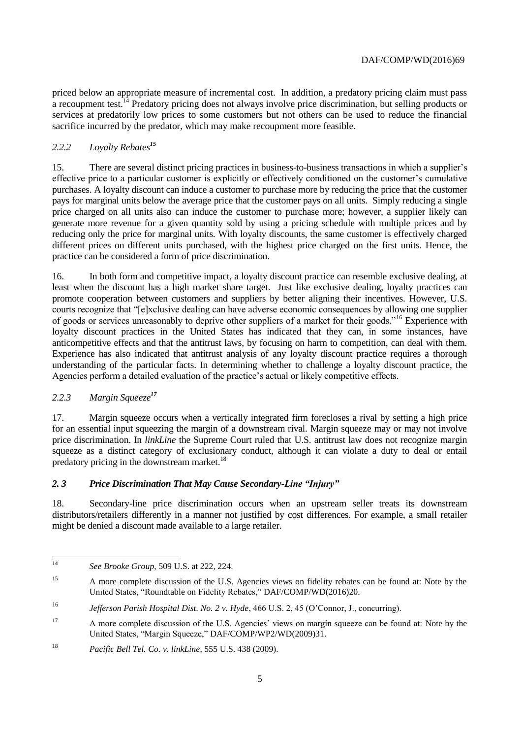priced below an appropriate measure of incremental cost. In addition, a predatory pricing claim must pass a recoupment test.<sup>14</sup> Predatory pricing does not always involve price discrimination, but selling products or services at predatorily low prices to some customers but not others can be used to reduce the financial sacrifice incurred by the predator, which may make recoupment more feasible.

# *2.2.2 Loyalty Rebates<sup>15</sup>*

15. There are several distinct pricing practices in business-to-business transactions in which a supplier's effective price to a particular customer is explicitly or effectively conditioned on the customer's cumulative purchases. A loyalty discount can induce a customer to purchase more by reducing the price that the customer pays for marginal units below the average price that the customer pays on all units. Simply reducing a single price charged on all units also can induce the customer to purchase more; however, a supplier likely can generate more revenue for a given quantity sold by using a pricing schedule with multiple prices and by reducing only the price for marginal units. With loyalty discounts, the same customer is effectively charged different prices on different units purchased, with the highest price charged on the first units. Hence, the practice can be considered a form of price discrimination.

16. In both form and competitive impact, a loyalty discount practice can resemble exclusive dealing, at least when the discount has a high market share target. Just like exclusive dealing, loyalty practices can promote cooperation between customers and suppliers by better aligning their incentives. However, U.S. courts recognize that "[e]xclusive dealing can have adverse economic consequences by allowing one supplier of goods or services unreasonably to deprive other suppliers of a market for their goods."<sup>16</sup> Experience with loyalty discount practices in the United States has indicated that they can, in some instances, have anticompetitive effects and that the antitrust laws, by focusing on harm to competition, can deal with them. Experience has also indicated that antitrust analysis of any loyalty discount practice requires a thorough understanding of the particular facts. In determining whether to challenge a loyalty discount practice, the Agencies perform a detailed evaluation of the practice's actual or likely competitive effects.

#### *2.2.3 Margin Squeeze<sup>17</sup>*

17. Margin squeeze occurs when a vertically integrated firm forecloses a rival by setting a high price for an essential input squeezing the margin of a downstream rival. Margin squeeze may or may not involve price discrimination. In *linkLine* the Supreme Court ruled that U.S. antitrust law does not recognize margin squeeze as a distinct category of exclusionary conduct, although it can violate a duty to deal or entail predatory pricing in the downstream market. $^{18}$ 

#### *2. 3 Price Discrimination That May Cause Secondary-Line "Injury"*

18. Secondary-line price discrimination occurs when an upstream seller treats its downstream distributors/retailers differently in a manner not justified by cost differences. For example, a small retailer might be denied a discount made available to a large retailer.

 $14$ <sup>14</sup> *See Brooke Group*, 509 U.S. at 222, 224.

<sup>&</sup>lt;sup>15</sup> A more complete discussion of the U.S. Agencies views on fidelity rebates can be found at: Note by the United States, "Roundtable on Fidelity Rebates," DAF/COMP/WD(2016)20.

<sup>16</sup> *Jefferson Parish Hospital Dist. No. 2 v. Hyde*, 466 U.S. 2, 45 (O'Connor, J., concurring).

<sup>&</sup>lt;sup>17</sup> A more complete discussion of the U.S. Agencies' views on margin squeeze can be found at: Note by the United States, "Margin Squeeze," DAF/COMP/WP2/WD(2009)31.

<sup>18</sup> *Pacific Bell Tel. Co. v. linkLine*, 555 U.S. 438 (2009).